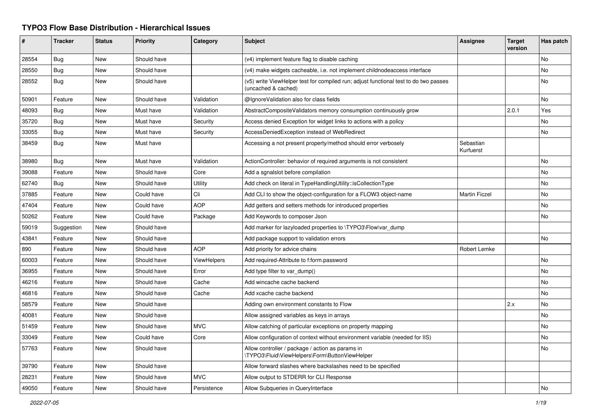## **TYPO3 Flow Base Distribution - Hierarchical Issues**

| #     | <b>Tracker</b> | <b>Status</b> | <b>Priority</b> | Category           | <b>Subject</b>                                                                                              | <b>Assignee</b>        | <b>Target</b><br>version | Has patch |
|-------|----------------|---------------|-----------------|--------------------|-------------------------------------------------------------------------------------------------------------|------------------------|--------------------------|-----------|
| 28554 | <b>Bug</b>     | <b>New</b>    | Should have     |                    | (v4) implement feature flag to disable caching                                                              |                        |                          | No        |
| 28550 | Bug            | <b>New</b>    | Should have     |                    | (v4) make widgets cacheable, i.e. not implement childnodeaccess interface                                   |                        |                          | No        |
| 28552 | <b>Bug</b>     | New           | Should have     |                    | (v5) write ViewHelper test for compiled run; adjust functional test to do two passes<br>(uncached & cached) |                        |                          | No        |
| 50901 | Feature        | <b>New</b>    | Should have     | Validation         | @IgnoreValidation also for class fields                                                                     |                        |                          | No        |
| 48093 | Bug            | <b>New</b>    | Must have       | Validation         | AbstractCompositeValidators memory consumption continuously grow                                            |                        | 2.0.1                    | Yes       |
| 35720 | <b>Bug</b>     | <b>New</b>    | Must have       | Security           | Access denied Exception for widget links to actions with a policy                                           |                        |                          | No.       |
| 33055 | Bug            | New           | Must have       | Security           | AccessDeniedException instead of WebRedirect                                                                |                        |                          | No        |
| 38459 | Bug            | New           | Must have       |                    | Accessing a not present property/method should error verbosely                                              | Sebastian<br>Kurfuerst |                          |           |
| 38980 | <b>Bug</b>     | New           | Must have       | Validation         | ActionController: behavior of required arguments is not consistent                                          |                        |                          | No        |
| 39088 | Feature        | <b>New</b>    | Should have     | Core               | Add a sgnalslot before compilation                                                                          |                        |                          | No        |
| 62740 | Bug            | <b>New</b>    | Should have     | Utility            | Add check on literal in TypeHandlingUtility::isCollectionType                                               |                        |                          | No.       |
| 37885 | Feature        | <b>New</b>    | Could have      | Cli                | Add CLI to show the object-configuration for a FLOW3 object-name                                            | Martin Ficzel          |                          | No        |
| 47404 | Feature        | New           | Could have      | <b>AOP</b>         | Add getters and setters methods for introduced properties                                                   |                        |                          | No        |
| 50262 | Feature        | <b>New</b>    | Could have      | Package            | Add Keywords to composer Json                                                                               |                        |                          | No.       |
| 59019 | Suggestion     | <b>New</b>    | Should have     |                    | Add marker for lazyloaded properties to \TYPO3\Flow\var dump                                                |                        |                          |           |
| 43841 | Feature        | New           | Should have     |                    | Add package support to validation errors                                                                    |                        |                          | No        |
| 890   | Feature        | New           | Should have     | <b>AOP</b>         | Add priority for advice chains                                                                              | Robert Lemke           |                          |           |
| 60003 | Feature        | <b>New</b>    | Should have     | <b>ViewHelpers</b> | Add required-Attribute to f:form.password                                                                   |                        |                          | <b>No</b> |
| 36955 | Feature        | <b>New</b>    | Should have     | Error              | Add type filter to var dump()                                                                               |                        |                          | No        |
| 46216 | Feature        | New           | Should have     | Cache              | Add wincache cache backend                                                                                  |                        |                          | No        |
| 46816 | Feature        | New           | Should have     | Cache              | Add xcache cache backend                                                                                    |                        |                          | No        |
| 58579 | Feature        | <b>New</b>    | Should have     |                    | Adding own environment constants to Flow                                                                    |                        | 2.x                      | No        |
| 40081 | Feature        | <b>New</b>    | Should have     |                    | Allow assigned variables as keys in arrays                                                                  |                        |                          | No        |
| 51459 | Feature        | New           | Should have     | <b>MVC</b>         | Allow catching of particular exceptions on property mapping                                                 |                        |                          | No        |
| 33049 | Feature        | New           | Could have      | Core               | Allow configuration of context without environment variable (needed for IIS)                                |                        |                          | No        |
| 57763 | Feature        | <b>New</b>    | Should have     |                    | Allow controller / package / action as params in<br>TYPO3\Fluid\ViewHelpers\Form\ButtonViewHelper           |                        |                          | No        |
| 39790 | Feature        | <b>New</b>    | Should have     |                    | Allow forward slashes where backslashes need to be specified                                                |                        |                          |           |
| 28231 | Feature        | New           | Should have     | <b>MVC</b>         | Allow output to STDERR for CLI Response                                                                     |                        |                          |           |
| 49050 | Feature        | New           | Should have     | Persistence        | Allow Subqueries in QueryInterface                                                                          |                        |                          | No        |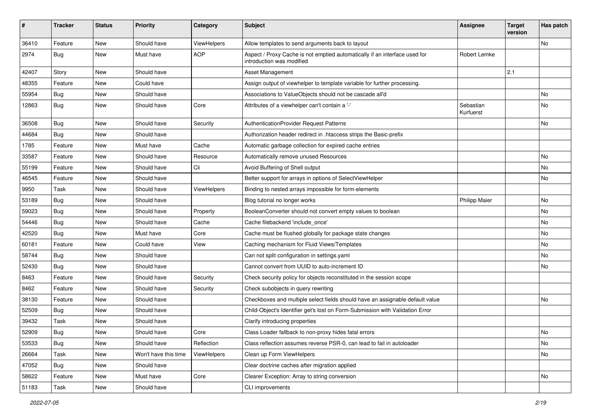| #     | <b>Tracker</b> | <b>Status</b> | <b>Priority</b>      | Category    | <b>Subject</b>                                                                                          | <b>Assignee</b>        | <b>Target</b><br>version | Has patch |
|-------|----------------|---------------|----------------------|-------------|---------------------------------------------------------------------------------------------------------|------------------------|--------------------------|-----------|
| 36410 | Feature        | New           | Should have          | ViewHelpers | Allow templates to send arguments back to layout                                                        |                        |                          | No        |
| 2974  | Bug            | New           | Must have            | <b>AOP</b>  | Aspect / Proxy Cache is not emptied automatically if an interface used for<br>introduction was modified | Robert Lemke           |                          |           |
| 42407 | Story          | <b>New</b>    | Should have          |             | Asset Management                                                                                        |                        | 2.1                      |           |
| 48355 | Feature        | New           | Could have           |             | Assign output of viewhelper to template variable for further processing.                                |                        |                          |           |
| 55954 | Bug            | New           | Should have          |             | Associations to ValueObjects should not be cascade all'd                                                |                        |                          | No.       |
| 12863 | Bug            | New           | Should have          | Core        | Attributes of a viewhelper can't contain a '-'                                                          | Sebastian<br>Kurfuerst |                          | No        |
| 36508 | <b>Bug</b>     | New           | Should have          | Security    | AuthenticationProvider Request Patterns                                                                 |                        |                          | No.       |
| 44684 | <b>Bug</b>     | New           | Should have          |             | Authorization header redirect in .htaccess strips the Basic-prefix                                      |                        |                          |           |
| 1785  | Feature        | New           | Must have            | Cache       | Automatic garbage collection for expired cache entries                                                  |                        |                          |           |
| 33587 | Feature        | New           | Should have          | Resource    | Automatically remove unused Resources                                                                   |                        |                          | No.       |
| 55199 | Feature        | New           | Should have          | Cli         | Avoid Buffering of Shell output                                                                         |                        |                          | No        |
| 46545 | Feature        | New           | Should have          |             | Better support for arrays in options of SelectViewHelper                                                |                        |                          | No.       |
| 9950  | Task           | New           | Should have          | ViewHelpers | Binding to nested arrays impossible for form-elements                                                   |                        |                          |           |
| 53189 | <b>Bug</b>     | New           | Should have          |             | Blog tutorial no longer works                                                                           | <b>Philipp Maier</b>   |                          | No.       |
| 59023 | Bug            | New           | Should have          | Property    | BooleanConverter should not convert empty values to boolean                                             |                        |                          | <b>No</b> |
| 54446 | <b>Bug</b>     | New           | Should have          | Cache       | Cache filebackend 'include once'                                                                        |                        |                          | <b>No</b> |
| 42520 | <b>Bug</b>     | New           | Must have            | Core        | Cache must be flushed globally for package state changes                                                |                        |                          | No        |
| 60181 | Feature        | New           | Could have           | View        | Caching mechanism for Fluid Views/Templates                                                             |                        |                          | No        |
| 58744 | Bug            | New           | Should have          |             | Can not split configuration in settings.yaml                                                            |                        |                          | No        |
| 52430 | <b>Bug</b>     | New           | Should have          |             | Cannot convert from UUID to auto-increment ID                                                           |                        |                          | No        |
| 8463  | Feature        | New           | Should have          | Security    | Check security policy for objects reconstituted in the session scope                                    |                        |                          |           |
| 8462  | Feature        | New           | Should have          | Security    | Check subobjects in query rewriting                                                                     |                        |                          |           |
| 38130 | Feature        | New           | Should have          |             | Checkboxes and multiple select fields should have an assignable default value                           |                        |                          | No.       |
| 52509 | Bug            | New           | Should have          |             | Child-Object's Identifier get's lost on Form-Submission with Validation Error                           |                        |                          |           |
| 39432 | Task           | New           | Should have          |             | Clarify introducing properties                                                                          |                        |                          |           |
| 52909 | Bug            | New           | Should have          | Core        | Class Loader fallback to non-proxy hides fatal errors                                                   |                        |                          | No        |
| 53533 | <b>Bug</b>     | New           | Should have          | Reflection  | Class reflection assumes reverse PSR-0, can lead to fail in autoloader                                  |                        |                          | No        |
| 26664 | Task           | New           | Won't have this time | ViewHelpers | Clean up Form ViewHelpers                                                                               |                        |                          | No        |
| 47052 | <b>Bug</b>     | New           | Should have          |             | Clear doctrine caches after migration applied                                                           |                        |                          |           |
| 58622 | Feature        | New           | Must have            | Core        | Clearer Exception: Array to string conversion                                                           |                        |                          | No        |
| 51183 | Task           | New           | Should have          |             | CLI improvements                                                                                        |                        |                          |           |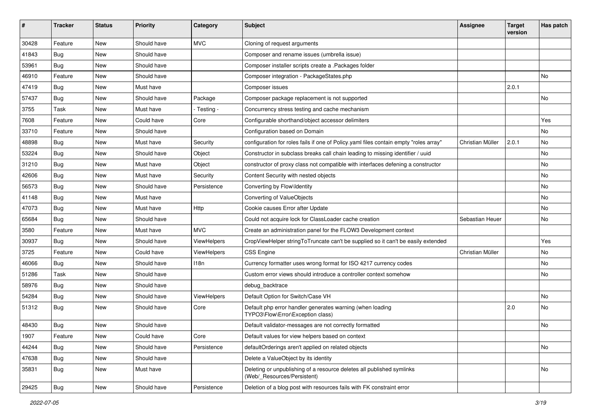| ∦     | <b>Tracker</b> | <b>Status</b> | <b>Priority</b> | Category    | <b>Subject</b>                                                                                       | <b>Assignee</b>  | <b>Target</b><br>version | Has patch |
|-------|----------------|---------------|-----------------|-------------|------------------------------------------------------------------------------------------------------|------------------|--------------------------|-----------|
| 30428 | Feature        | <b>New</b>    | Should have     | <b>MVC</b>  | Cloning of request arguments                                                                         |                  |                          |           |
| 41843 | Bug            | New           | Should have     |             | Composer and rename issues (umbrella issue)                                                          |                  |                          |           |
| 53961 | Bug            | New           | Should have     |             | Composer installer scripts create a .Packages folder                                                 |                  |                          |           |
| 46910 | Feature        | New           | Should have     |             | Composer integration - PackageStates.php                                                             |                  |                          | No.       |
| 47419 | Bug            | New           | Must have       |             | Composer issues                                                                                      |                  | 2.0.1                    |           |
| 57437 | Bug            | New           | Should have     | Package     | Composer package replacement is not supported                                                        |                  |                          | No        |
| 3755  | Task           | New           | Must have       | - Testing - | Concurrency stress testing and cache mechanism                                                       |                  |                          |           |
| 7608  | Feature        | New           | Could have      | Core        | Configurable shorthand/object accessor delimiters                                                    |                  |                          | Yes       |
| 33710 | Feature        | New           | Should have     |             | Configuration based on Domain                                                                        |                  |                          | No.       |
| 48898 | <b>Bug</b>     | New           | Must have       | Security    | configuration for roles fails if one of Policy yaml files contain empty "roles array"                | Christian Müller | 2.0.1                    | No        |
| 53224 | Bug            | New           | Should have     | Object      | Constructor in subclass breaks call chain leading to missing identifier / uuid                       |                  |                          | No.       |
| 31210 | Bug            | New           | Must have       | Object      | constructor of proxy class not compatible with interfaces defening a constructor                     |                  |                          | No        |
| 42606 | <b>Bug</b>     | New           | Must have       | Security    | Content Security with nested objects                                                                 |                  |                          | No.       |
| 56573 | Bug            | New           | Should have     | Persistence | Converting by Flow\Identity                                                                          |                  |                          | <b>No</b> |
| 41148 | <b>Bug</b>     | New           | Must have       |             | Converting of ValueObjects                                                                           |                  |                          | No        |
| 47073 | <b>Bug</b>     | New           | Must have       | Http        | Cookie causes Error after Update                                                                     |                  |                          | No.       |
| 65684 | Bug            | New           | Should have     |             | Could not acquire lock for ClassLoader cache creation                                                | Sebastian Heuer  |                          | No        |
| 3580  | Feature        | New           | Must have       | <b>MVC</b>  | Create an administration panel for the FLOW3 Development context                                     |                  |                          |           |
| 30937 | <b>Bug</b>     | New           | Should have     | ViewHelpers | CropViewHelper stringToTruncate can't be supplied so it can't be easily extended                     |                  |                          | Yes       |
| 3725  | Feature        | New           | Could have      | ViewHelpers | <b>CSS Engine</b>                                                                                    | Christian Müller |                          | No        |
| 46066 | Bug            | New           | Should have     | 118n        | Currency formatter uses wrong format for ISO 4217 currency codes                                     |                  |                          | No        |
| 51286 | Task           | New           | Should have     |             | Custom error views should introduce a controller context somehow                                     |                  |                          | No        |
| 58976 | Bug            | New           | Should have     |             | debug_backtrace                                                                                      |                  |                          |           |
| 54284 | Bug            | New           | Should have     | ViewHelpers | Default Option for Switch/Case VH                                                                    |                  |                          | No.       |
| 51312 | Bug            | New           | Should have     | Core        | Default php error handler generates warning (when loading<br>TYPO3\Flow\Error\Exception class)       |                  | 2.0                      | No        |
| 48430 | <b>Bug</b>     | New           | Should have     |             | Default validator-messages are not correctly formatted                                               |                  |                          | No        |
| 1907  | Feature        | New           | Could have      | Core        | Default values for view helpers based on context                                                     |                  |                          |           |
| 44244 | Bug            | New           | Should have     | Persistence | defaultOrderings aren't applied on related objects                                                   |                  |                          | No        |
| 47638 | <b>Bug</b>     | New           | Should have     |             | Delete a ValueObject by its identity                                                                 |                  |                          |           |
| 35831 | <b>Bug</b>     | New           | Must have       |             | Deleting or unpublishing of a resource deletes all published symlinks<br>(Web/_Resources/Persistent) |                  |                          | No        |
| 29425 | Bug            | New           | Should have     | Persistence | Deletion of a blog post with resources fails with FK constraint error                                |                  |                          |           |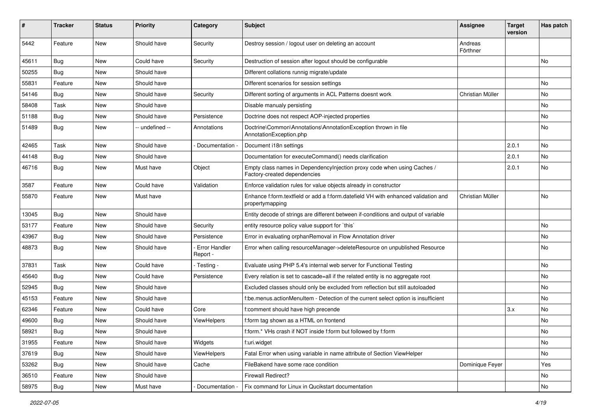| #     | <b>Tracker</b> | <b>Status</b> | <b>Priority</b> | Category                  | <b>Subject</b>                                                                                          | <b>Assignee</b>     | <b>Target</b><br>version | Has patch |
|-------|----------------|---------------|-----------------|---------------------------|---------------------------------------------------------------------------------------------------------|---------------------|--------------------------|-----------|
| 5442  | Feature        | <b>New</b>    | Should have     | Security                  | Destroy session / logout user on deleting an account                                                    | Andreas<br>Förthner |                          |           |
| 45611 | <b>Bug</b>     | New           | Could have      | Security                  | Destruction of session after logout should be configurable                                              |                     |                          | No        |
| 50255 | Bug            | <b>New</b>    | Should have     |                           | Different collations runnig migrate/update                                                              |                     |                          |           |
| 55831 | Feature        | New           | Should have     |                           | Different scenarios for session settings                                                                |                     |                          | <b>No</b> |
| 54146 | Bug            | New           | Should have     | Security                  | Different sorting of arguments in ACL Patterns doesnt work                                              | Christian Müller    |                          | No        |
| 58408 | Task           | New           | Should have     |                           | Disable manualy persisting                                                                              |                     |                          | No        |
| 51188 | Bug            | New           | Should have     | Persistence               | Doctrine does not respect AOP-injected properties                                                       |                     |                          | No        |
| 51489 | Bug            | New           | -- undefined -- | Annotations               | Doctrine\Common\Annotations\AnnotationException thrown in file<br>AnnotationException.php               |                     |                          | <b>No</b> |
| 42465 | Task           | New           | Should have     | Documentation             | Document i18n settings                                                                                  |                     | 2.0.1                    | No        |
| 44148 | Bug            | New           | Should have     |                           | Documentation for executeCommand() needs clarification                                                  |                     | 2.0.1                    | No        |
| 46716 | Bug            | New           | Must have       | Object                    | Empty class names in Dependencylnjection proxy code when using Caches /<br>Factory-created dependencies |                     | 2.0.1                    | No        |
| 3587  | Feature        | New           | Could have      | Validation                | Enforce validation rules for value objects already in constructor                                       |                     |                          |           |
| 55870 | Feature        | New           | Must have       |                           | Enhance f:form.textfield or add a f:form.datefield VH with enhanced validation and<br>propertymapping   | Christian Müller    |                          | No.       |
| 13045 | Bug            | New           | Should have     |                           | Entity decode of strings are different between if-conditions and output of variable                     |                     |                          |           |
| 53177 | Feature        | New           | Should have     | Security                  | entity resource policy value support for `this`                                                         |                     |                          | No        |
| 43967 | Bug            | New           | Should have     | Persistence               | Error in evaluating orphanRemoval in Flow Annotation driver                                             |                     |                          | <b>No</b> |
| 48873 | Bug            | New           | Should have     | Error Handler<br>Report - | Error when calling resourceManager->deleteResource on unpublished Resource                              |                     |                          | <b>No</b> |
| 37831 | Task           | New           | Could have      | - Testing -               | Evaluate using PHP 5.4's internal web server for Functional Testing                                     |                     |                          | No        |
| 45640 | <b>Bug</b>     | New           | Could have      | Persistence               | Every relation is set to cascade=all if the related entity is no aggregate root                         |                     |                          | No        |
| 52945 | Bug            | New           | Should have     |                           | Excluded classes should only be excluded from reflection but still autoloaded                           |                     |                          | <b>No</b> |
| 45153 | Feature        | New           | Should have     |                           | f:be.menus.actionMenuItem - Detection of the current select option is insufficient                      |                     |                          | <b>No</b> |
| 62346 | Feature        | New           | Could have      | Core                      | f:comment should have high precende                                                                     |                     | 3.x                      | No        |
| 49600 | <b>Bug</b>     | New           | Should have     | ViewHelpers               | f:form tag shown as a HTML on frontend                                                                  |                     |                          | No        |
| 58921 | <b>Bug</b>     | New           | Should have     |                           | f:form.* VHs crash if NOT inside f:form but followed by f:form                                          |                     |                          | No        |
| 31955 | Feature        | New           | Should have     | Widgets                   | f:uri.widget                                                                                            |                     |                          | No        |
| 37619 | <b>Bug</b>     | New           | Should have     | ViewHelpers               | Fatal Error when using variable in name attribute of Section ViewHelper                                 |                     |                          | No        |
| 53262 | <b>Bug</b>     | New           | Should have     | Cache                     | FileBakend have some race condition                                                                     | Dominique Feyer     |                          | Yes       |
| 36510 | Feature        | New           | Should have     |                           | Firewall Redirect?                                                                                      |                     |                          | No        |
| 58975 | Bug            | New           | Must have       | Documentation             | Fix command for Linux in Qucikstart documentation                                                       |                     |                          | No        |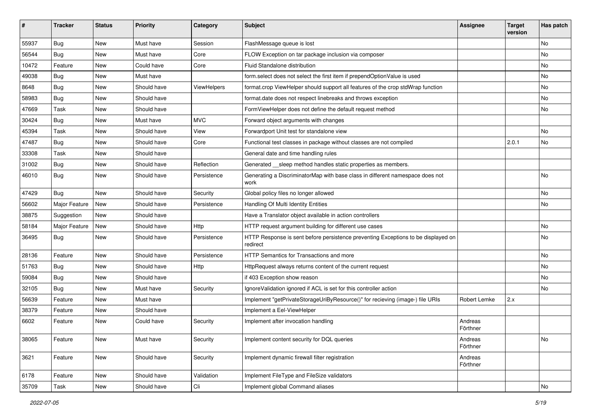| #     | <b>Tracker</b> | <b>Status</b> | <b>Priority</b> | Category    | <b>Subject</b>                                                                                | <b>Assignee</b>     | <b>Target</b><br>version | Has patch |
|-------|----------------|---------------|-----------------|-------------|-----------------------------------------------------------------------------------------------|---------------------|--------------------------|-----------|
| 55937 | Bug            | New           | Must have       | Session     | FlashMessage queue is lost                                                                    |                     |                          | No        |
| 56544 | <b>Bug</b>     | New           | Must have       | Core        | FLOW Exception on tar package inclusion via composer                                          |                     |                          | No        |
| 10472 | Feature        | New           | Could have      | Core        | Fluid Standalone distribution                                                                 |                     |                          | No        |
| 49038 | Bug            | New           | Must have       |             | form.select does not select the first item if prependOptionValue is used                      |                     |                          | No        |
| 8648  | <b>Bug</b>     | New           | Should have     | ViewHelpers | format.crop ViewHelper should support all features of the crop stdWrap function               |                     |                          | No        |
| 58983 | <b>Bug</b>     | New           | Should have     |             | format.date does not respect linebreaks and throws exception                                  |                     |                          | No        |
| 47669 | Task           | New           | Should have     |             | FormViewHelper does not define the default request method                                     |                     |                          | No        |
| 30424 | <b>Bug</b>     | New           | Must have       | <b>MVC</b>  | Forward object arguments with changes                                                         |                     |                          |           |
| 45394 | Task           | <b>New</b>    | Should have     | View        | Forwardport Unit test for standalone view                                                     |                     |                          | No        |
| 47487 | <b>Bug</b>     | New           | Should have     | Core        | Functional test classes in package without classes are not compiled                           |                     | 2.0.1                    | No        |
| 33308 | Task           | New           | Should have     |             | General date and time handling rules                                                          |                     |                          |           |
| 31002 | <b>Bug</b>     | New           | Should have     | Reflection  | Generated __sleep method handles static properties as members.                                |                     |                          |           |
| 46010 | <b>Bug</b>     | New           | Should have     | Persistence | Generating a DiscriminatorMap with base class in different namespace does not<br>work         |                     |                          | No        |
| 47429 | Bug            | <b>New</b>    | Should have     | Security    | Global policy files no longer allowed                                                         |                     |                          | No        |
| 56602 | Major Feature  | New           | Should have     | Persistence | Handling Of Multi Identity Entities                                                           |                     |                          | No        |
| 38875 | Suggestion     | New           | Should have     |             | Have a Translator object available in action controllers                                      |                     |                          |           |
| 58184 | Major Feature  | New           | Should have     | Http        | HTTP request argument building for different use cases                                        |                     |                          | No        |
| 36495 | Bug            | New           | Should have     | Persistence | HTTP Response is sent before persistence preventing Exceptions to be displayed on<br>redirect |                     |                          | No.       |
| 28136 | Feature        | New           | Should have     | Persistence | HTTP Semantics for Transactions and more                                                      |                     |                          | No.       |
| 51763 | <b>Bug</b>     | New           | Should have     | Http        | HttpRequest always returns content of the current request                                     |                     |                          | No        |
| 59084 | <b>Bug</b>     | New           | Should have     |             | if 403 Exception show reason                                                                  |                     |                          | No.       |
| 32105 | Bug            | New           | Must have       | Security    | Ignore Validation ignored if ACL is set for this controller action                            |                     |                          | No        |
| 56639 | Feature        | New           | Must have       |             | Implement "getPrivateStorageUriByResource()" for recieving (image-) file URIs                 | Robert Lemke        | 2.x                      |           |
| 38379 | Feature        | New           | Should have     |             | Implement a Eel-ViewHelper                                                                    |                     |                          |           |
| 6602  | Feature        | New           | Could have      | Security    | Implement after invocation handling                                                           | Andreas<br>Förthner |                          |           |
| 38065 | Feature        | New           | Must have       | Security    | Implement content security for DQL queries                                                    | Andreas<br>Förthner |                          | No        |
| 3621  | Feature        | New           | Should have     | Security    | Implement dynamic firewall filter registration                                                | Andreas<br>Förthner |                          |           |
| 6178  | Feature        | New           | Should have     | Validation  | Implement FileType and FileSize validators                                                    |                     |                          |           |
| 35709 | Task           | New           | Should have     | Cli         | Implement global Command aliases                                                              |                     |                          | No        |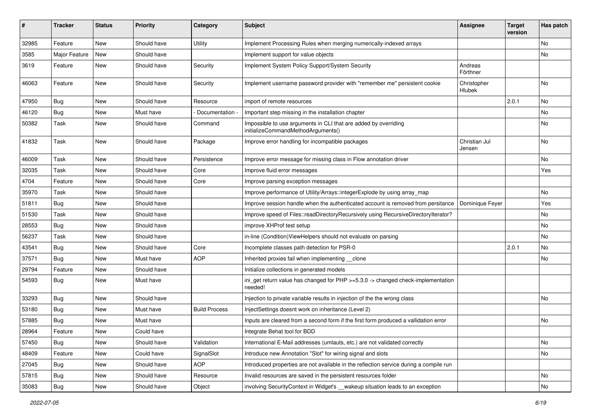| #     | <b>Tracker</b> | <b>Status</b> | <b>Priority</b> | Category             | <b>Subject</b>                                                                                        | <b>Assignee</b>         | <b>Target</b><br>version | Has patch |
|-------|----------------|---------------|-----------------|----------------------|-------------------------------------------------------------------------------------------------------|-------------------------|--------------------------|-----------|
| 32985 | Feature        | <b>New</b>    | Should have     | Utility              | Implement Processing Rules when merging numerically-indexed arrays                                    |                         |                          | No        |
| 3585  | Major Feature  | New           | Should have     |                      | Implement support for value objects                                                                   |                         |                          | No        |
| 3619  | Feature        | New           | Should have     | Security             | Implement System Policy Support/System Security                                                       | Andreas<br>Förthner     |                          |           |
| 46063 | Feature        | New           | Should have     | Security             | Implement username password provider with "remember me" persistent cookie                             | Christopher<br>Hlubek   |                          | No.       |
| 47950 | Bug            | New           | Should have     | Resource             | import of remote resources                                                                            |                         | 2.0.1                    | No        |
| 46120 | Bug            | New           | Must have       | Documentation        | Important step missing in the installation chapter                                                    |                         |                          | No        |
| 50382 | Task           | New           | Should have     | Command              | Impossible to use arguments in CLI that are added by overriding<br>initializeCommandMethodArguments() |                         |                          | No        |
| 41832 | Task           | New           | Should have     | Package              | Improve error handling for incompatible packages                                                      | Christian Jul<br>Jensen |                          | No        |
| 46009 | Task           | New           | Should have     | Persistence          | Improve error message for missing class in Flow annotation driver                                     |                         |                          | No        |
| 32035 | Task           | New           | Should have     | Core                 | Improve fluid error messages                                                                          |                         |                          | Yes       |
| 4704  | Feature        | New           | Should have     | Core                 | Improve parsing exception messages                                                                    |                         |                          |           |
| 35970 | Task           | New           | Should have     |                      | Improve performance of Utility/Arrays::integerExplode by using array_map                              |                         |                          | No        |
| 51811 | <b>Bug</b>     | New           | Should have     |                      | Improve session handle when the authenticated account is removed from persitance                      | Dominique Feyer         |                          | Yes       |
| 51530 | Task           | New           | Should have     |                      | Improve speed of Files::readDirectoryRecursively using RecursiveDirectoryIterator?                    |                         |                          | No        |
| 28553 | Bug            | New           | Should have     |                      | improve XHProf test setup                                                                             |                         |                          | No        |
| 56237 | Task           | <b>New</b>    | Should have     |                      | in-line (Condition) ViewHelpers should not evaluate on parsing                                        |                         |                          | No        |
| 43541 | Bug            | New           | Should have     | Core                 | Incomplete classes path detection for PSR-0                                                           |                         | 2.0.1                    | No        |
| 37571 | <b>Bug</b>     | New           | Must have       | <b>AOP</b>           | Inherited proxies fail when implementing clone                                                        |                         |                          | No        |
| 29794 | Feature        | New           | Should have     |                      | Initialize collections in generated models                                                            |                         |                          |           |
| 54593 | Bug            | New           | Must have       |                      | ini_get return value has changed for PHP >=5.3.0 -> changed check-implementation<br>needed!           |                         |                          |           |
| 33293 | Bug            | New           | Should have     |                      | Injection to private variable results in injection of the the wrong class                             |                         |                          | No        |
| 53180 | Bug            | New           | Must have       | <b>Build Process</b> | InjectSettings doesnt work on inheritance (Level 2)                                                   |                         |                          |           |
| 57885 | <b>Bug</b>     | New           | Must have       |                      | Inputs are cleared from a second form if the first form produced a vallidation error                  |                         |                          | No        |
| 28964 | Feature        | New           | Could have      |                      | Integrate Behat tool for BDD                                                                          |                         |                          |           |
| 57450 | <b>Bug</b>     | New           | Should have     | Validation           | International E-Mail addresses (umlauts, etc.) are not validated correctly                            |                         |                          | No        |
| 48409 | Feature        | New           | Could have      | SignalSlot           | Introduce new Annotation "Slot" for wiring signal and slots                                           |                         |                          | No        |
| 27045 | <b>Bug</b>     | New           | Should have     | <b>AOP</b>           | Introduced properties are not available in the reflection service during a compile run                |                         |                          |           |
| 57815 | Bug            | New           | Should have     | Resource             | Invalid resources are saved in the persistent resources folder                                        |                         |                          | No        |
| 35083 | Bug            | New           | Should have     | Object               | involving SecurityContext in Widget's __wakeup situation leads to an exception                        |                         |                          | No        |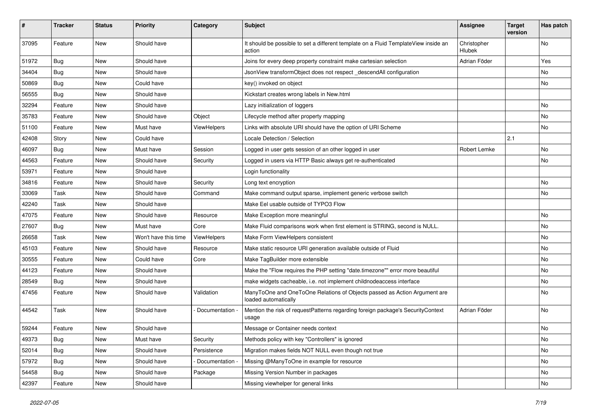| ∦     | <b>Tracker</b> | <b>Status</b> | <b>Priority</b>      | Category      | <b>Subject</b>                                                                                    | <b>Assignee</b>              | <b>Target</b><br>version | Has patch     |
|-------|----------------|---------------|----------------------|---------------|---------------------------------------------------------------------------------------------------|------------------------------|--------------------------|---------------|
| 37095 | Feature        | <b>New</b>    | Should have          |               | It should be possible to set a different template on a Fluid TemplateView inside an<br>action     | Christopher<br><b>Hlubek</b> |                          | No            |
| 51972 | <b>Bug</b>     | New           | Should have          |               | Joins for every deep property constraint make cartesian selection                                 | Adrian Föder                 |                          | Yes           |
| 34404 | Bug            | <b>New</b>    | Should have          |               | JsonView transformObject does not respect_descendAll configuration                                |                              |                          | No            |
| 50869 | <b>Bug</b>     | New           | Could have           |               | key() invoked on object                                                                           |                              |                          | No            |
| 56555 | Bug            | New           | Should have          |               | Kickstart creates wrong labels in New.html                                                        |                              |                          |               |
| 32294 | Feature        | New           | Should have          |               | Lazy initialization of loggers                                                                    |                              |                          | No            |
| 35783 | Feature        | New           | Should have          | Object        | Lifecycle method after property mapping                                                           |                              |                          | No.           |
| 51100 | Feature        | New           | Must have            | ViewHelpers   | Links with absolute URI should have the option of URI Scheme                                      |                              |                          | No            |
| 42408 | Story          | New           | Could have           |               | Locale Detection / Selection                                                                      |                              | 2.1                      |               |
| 46097 | Bug            | New           | Must have            | Session       | Logged in user gets session of an other logged in user                                            | Robert Lemke                 |                          | No            |
| 44563 | Feature        | New           | Should have          | Security      | Logged in users via HTTP Basic always get re-authenticated                                        |                              |                          | No            |
| 53971 | Feature        | New           | Should have          |               | Login functionality                                                                               |                              |                          |               |
| 34816 | Feature        | New           | Should have          | Security      | Long text encryption                                                                              |                              |                          | No            |
| 33069 | Task           | New           | Should have          | Command       | Make command output sparse, implement generic verbose switch                                      |                              |                          | No            |
| 42240 | Task           | New           | Should have          |               | Make Eel usable outside of TYPO3 Flow                                                             |                              |                          |               |
| 47075 | Feature        | New           | Should have          | Resource      | Make Exception more meaningful                                                                    |                              |                          | No            |
| 27607 | Bug            | New           | Must have            | Core          | Make Fluid comparisons work when first element is STRING, second is NULL.                         |                              |                          | No            |
| 26658 | Task           | New           | Won't have this time | ViewHelpers   | Make Form ViewHelpers consistent                                                                  |                              |                          | No            |
| 45103 | Feature        | New           | Should have          | Resource      | Make static resource URI generation available outside of Fluid                                    |                              |                          | No            |
| 30555 | Feature        | New           | Could have           | Core          | Make TagBuilder more extensible                                                                   |                              |                          | No            |
| 44123 | Feature        | New           | Should have          |               | Make the "Flow requires the PHP setting "date.timezone"" error more beautiful                     |                              |                          | No            |
| 28549 | Bug            | New           | Should have          |               | make widgets cacheable, i.e. not implement childnodeaccess interface                              |                              |                          | No            |
| 47456 | Feature        | New           | Should have          | Validation    | ManyToOne and OneToOne Relations of Objects passed as Action Argument are<br>loaded automatically |                              |                          | No            |
| 44542 | Task           | New           | Should have          | Documentation | Mention the risk of requestPatterns regarding foreign package's SecurityContext<br>usage          | Adrian Föder                 |                          | No            |
| 59244 | Feature        | New           | Should have          |               | Message or Container needs context                                                                |                              |                          | No            |
| 49373 | <b>Bug</b>     | New           | Must have            | Security      | Methods policy with key "Controllers" is ignored                                                  |                              |                          | $\mathsf{No}$ |
| 52014 | <b>Bug</b>     | New           | Should have          | Persistence   | Migration makes fields NOT NULL even though not true                                              |                              |                          | No            |
| 57972 | <b>Bug</b>     | New           | Should have          | Documentation | Missing @ManyToOne in example for resource                                                        |                              |                          | No            |
| 54458 | <b>Bug</b>     | New           | Should have          | Package       | Missing Version Number in packages                                                                |                              |                          | No            |
| 42397 | Feature        | New           | Should have          |               | Missing viewhelper for general links                                                              |                              |                          | No            |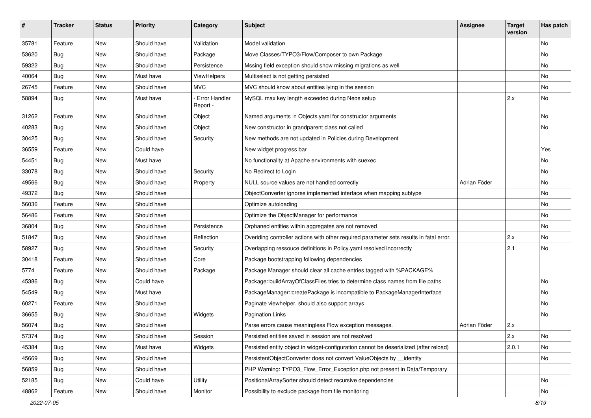| #     | <b>Tracker</b> | <b>Status</b> | <b>Priority</b> | Category                  | <b>Subject</b>                                                                          | <b>Assignee</b> | <b>Target</b><br>version | Has patch |
|-------|----------------|---------------|-----------------|---------------------------|-----------------------------------------------------------------------------------------|-----------------|--------------------------|-----------|
| 35781 | Feature        | New           | Should have     | Validation                | Model validation                                                                        |                 |                          | No.       |
| 53620 | <b>Bug</b>     | New           | Should have     | Package                   | Move Classes/TYPO3/Flow/Composer to own Package                                         |                 |                          | No        |
| 59322 | <b>Bug</b>     | New           | Should have     | Persistence               | Mssing field exception should show missing migrations as well                           |                 |                          | No.       |
| 40064 | Bug            | New           | Must have       | ViewHelpers               | Multiselect is not getting persisted                                                    |                 |                          | No        |
| 26745 | Feature        | New           | Should have     | <b>MVC</b>                | MVC should know about entities lying in the session                                     |                 |                          | No        |
| 58894 | <b>Bug</b>     | New           | Must have       | Error Handler<br>Report - | MySQL max key length exceeded during Neos setup                                         |                 | 2.x                      | No        |
| 31262 | Feature        | New           | Should have     | Object                    | Named arguments in Objects.yaml for constructor arguments                               |                 |                          | No        |
| 40283 | <b>Bug</b>     | New           | Should have     | Object                    | New constructor in grandparent class not called                                         |                 |                          | No.       |
| 30425 | <b>Bug</b>     | New           | Should have     | Security                  | New methods are not updated in Policies during Development                              |                 |                          |           |
| 36559 | Feature        | New           | Could have      |                           | New widget progress bar                                                                 |                 |                          | Yes       |
| 54451 | Bug            | <b>New</b>    | Must have       |                           | No functionality at Apache environments with suexec                                     |                 |                          | No        |
| 33078 | <b>Bug</b>     | New           | Should have     | Security                  | No Redirect to Login                                                                    |                 |                          | No        |
| 49566 | Bug            | New           | Should have     | Property                  | NULL source values are not handled correctly                                            | Adrian Föder    |                          | No.       |
| 49372 | <b>Bug</b>     | New           | Should have     |                           | ObjectConverter ignores implemented interface when mapping subtype                      |                 |                          | No        |
| 56036 | Feature        | New           | Should have     |                           | Optimize autoloading                                                                    |                 |                          | No.       |
| 56486 | Feature        | New           | Should have     |                           | Optimize the ObjectManager for performance                                              |                 |                          | No        |
| 36804 | <b>Bug</b>     | New           | Should have     | Persistence               | Orphaned entities within aggregates are not removed                                     |                 |                          | No        |
| 51847 | Bug            | New           | Should have     | Reflection                | Overiding controller actions with other required parameter sets results in fatal error. |                 | 2.x                      | No        |
| 58927 | <b>Bug</b>     | New           | Should have     | Security                  | Overlapping ressouce definitions in Policy.yaml resolved incorrectly                    |                 | 2.1                      | No        |
| 30418 | Feature        | New           | Should have     | Core                      | Package bootstrapping following dependencies                                            |                 |                          |           |
| 5774  | Feature        | New           | Should have     | Package                   | Package Manager should clear all cache entries tagged with %PACKAGE%                    |                 |                          |           |
| 45386 | <b>Bug</b>     | New           | Could have      |                           | Package::buildArrayOfClassFiles tries to determine class names from file paths          |                 |                          | No        |
| 54549 | Bug            | New           | Must have       |                           | PackageManager::createPackage is incompatible to PackageManagerInterface                |                 |                          | No        |
| 60271 | Feature        | <b>New</b>    | Should have     |                           | Paginate viewhelper, should also support arrays                                         |                 |                          | No        |
| 36655 | <b>Bug</b>     | New           | Should have     | Widgets                   | <b>Pagination Links</b>                                                                 |                 |                          | No        |
| 56074 | <b>Bug</b>     | New           | Should have     |                           | Parse errors cause meaningless Flow exception messages.                                 | Adrian Föder    | 2.x                      |           |
| 57374 | Bug            | New           | Should have     | Session                   | Persisted entities saved in session are not resolved                                    |                 | 2.x                      | No        |
| 45384 | Bug            | New           | Must have       | Widgets                   | Persisted entity object in widget-configuration cannot be deserialized (after reload)   |                 | 2.0.1                    | No        |
| 45669 | Bug            | New           | Should have     |                           | PersistentObjectConverter does not convert ValueObjects by __identity                   |                 |                          | No        |
| 56859 | <b>Bug</b>     | New           | Should have     |                           | PHP Warning: TYPO3 Flow Error Exception.php not present in Data/Temporary               |                 |                          |           |
| 52185 | Bug            | New           | Could have      | Utility                   | PositionalArraySorter should detect recursive dependencies                              |                 |                          | No        |
| 48862 | Feature        | New           | Should have     | Monitor                   | Possibility to exclude package from file monitoring                                     |                 |                          | No        |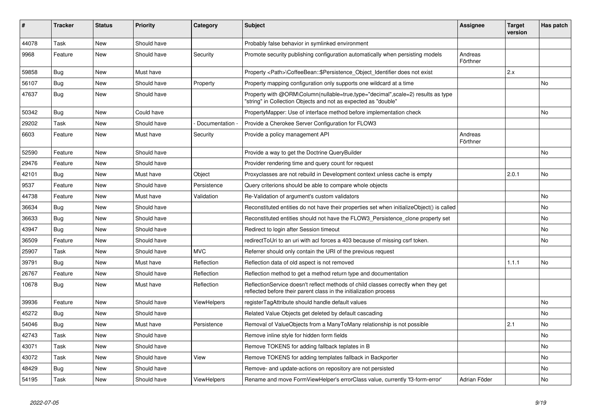| #     | <b>Tracker</b> | <b>Status</b> | <b>Priority</b> | Category           | <b>Subject</b>                                                                                                                                          | Assignee            | <b>Target</b><br>version | Has patch |
|-------|----------------|---------------|-----------------|--------------------|---------------------------------------------------------------------------------------------------------------------------------------------------------|---------------------|--------------------------|-----------|
| 44078 | Task           | <b>New</b>    | Should have     |                    | Probably false behavior in symlinked environment                                                                                                        |                     |                          |           |
| 9968  | Feature        | New           | Should have     | Security           | Promote security publishing configuration automatically when persisting models                                                                          | Andreas<br>Förthner |                          |           |
| 59858 | Bug            | <b>New</b>    | Must have       |                    | Property <path>\CoffeeBean::\$Persistence_Object_Identifier does not exist</path>                                                                       |                     | 2.x                      |           |
| 56107 | Bug            | New           | Should have     | Property           | Property mapping configuration only supports one wildcard at a time                                                                                     |                     |                          | No        |
| 47637 | Bug            | New           | Should have     |                    | Property with @ORM\Column(nullable=true,type="decimal",scale=2) results as type<br>"string" in Collection Objects and not as expected as "double"       |                     |                          |           |
| 50342 | Bug            | <b>New</b>    | Could have      |                    | PropertyMapper: Use of interface method before implementation check                                                                                     |                     |                          | No.       |
| 29202 | Task           | <b>New</b>    | Should have     | Documentation      | Provide a Cherokee Server Configuration for FLOW3                                                                                                       |                     |                          |           |
| 6603  | Feature        | New           | Must have       | Security           | Provide a policy management API                                                                                                                         | Andreas<br>Förthner |                          |           |
| 52590 | Feature        | New           | Should have     |                    | Provide a way to get the Doctrine QueryBuilder                                                                                                          |                     |                          | No.       |
| 29476 | Feature        | New           | Should have     |                    | Provider rendering time and query count for request                                                                                                     |                     |                          |           |
| 42101 | <b>Bug</b>     | New           | Must have       | Object             | Proxyclasses are not rebuild in Development context unless cache is empty                                                                               |                     | 2.0.1                    | No        |
| 9537  | Feature        | New           | Should have     | Persistence        | Query criterions should be able to compare whole objects                                                                                                |                     |                          |           |
| 44738 | Feature        | New           | Must have       | Validation         | Re-Validation of argument's custom validators                                                                                                           |                     |                          | No        |
| 36634 | <b>Bug</b>     | New           | Should have     |                    | Reconstituted entities do not have their properties set when initializeObject() is called                                                               |                     |                          | No        |
| 36633 | Bug            | <b>New</b>    | Should have     |                    | Reconstituted entities should not have the FLOW3_Persistence_clone property set                                                                         |                     |                          | No.       |
| 43947 | Bug            | New           | Should have     |                    | Redirect to login after Session timeout                                                                                                                 |                     |                          | No        |
| 36509 | Feature        | New           | Should have     |                    | redirect ToUri to an uri with acl forces a 403 because of missing csrf token.                                                                           |                     |                          | No        |
| 25907 | Task           | <b>New</b>    | Should have     | <b>MVC</b>         | Referrer should only contain the URI of the previous request                                                                                            |                     |                          |           |
| 39791 | Bug            | <b>New</b>    | Must have       | Reflection         | Reflection data of old aspect is not removed                                                                                                            |                     | 1.1.1                    | No.       |
| 26767 | Feature        | New           | Should have     | Reflection         | Reflection method to get a method return type and documentation                                                                                         |                     |                          |           |
| 10678 | <b>Bug</b>     | New           | Must have       | Reflection         | ReflectionService doesn't reflect methods of child classes correctly when they get<br>reflected before their parent class in the initialization process |                     |                          |           |
| 39936 | Feature        | New           | Should have     | ViewHelpers        | registerTagAttribute should handle default values                                                                                                       |                     |                          | No        |
| 45272 | <b>Bug</b>     | New           | Should have     |                    | Related Value Objects get deleted by default cascading                                                                                                  |                     |                          | No        |
| 54046 | <b>Bug</b>     | <b>New</b>    | Must have       | Persistence        | Removal of ValueObjects from a ManyToMany relationship is not possible                                                                                  |                     | 2.1                      | No        |
| 42743 | Task           | New           | Should have     |                    | Remove inline style for hidden form fields                                                                                                              |                     |                          | No        |
| 43071 | Task           | New           | Should have     |                    | Remove TOKENS for adding fallback teplates in B                                                                                                         |                     |                          | No        |
| 43072 | Task           | New           | Should have     | View               | Remove TOKENS for adding templates fallback in Backporter                                                                                               |                     |                          | No        |
| 48429 | Bug            | <b>New</b>    | Should have     |                    | Remove- and update-actions on repository are not persisted                                                                                              |                     |                          | No        |
| 54195 | Task           | New           | Should have     | <b>ViewHelpers</b> | Rename and move FormViewHelper's errorClass value, currently 'f3-form-error'                                                                            | Adrian Föder        |                          | No        |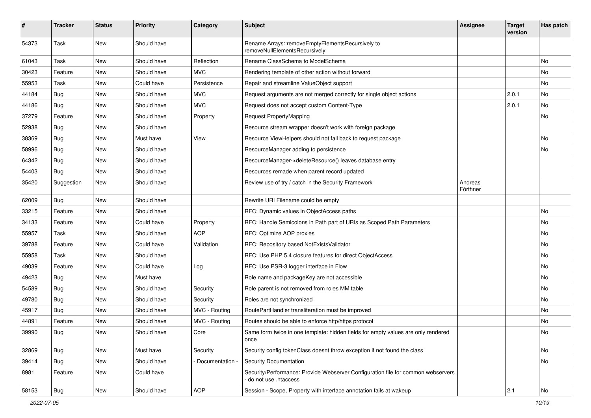| #     | <b>Tracker</b> | <b>Status</b> | <b>Priority</b> | Category      | <b>Subject</b>                                                                                           | <b>Assignee</b>     | <b>Target</b><br>version | Has patch |
|-------|----------------|---------------|-----------------|---------------|----------------------------------------------------------------------------------------------------------|---------------------|--------------------------|-----------|
| 54373 | Task           | New           | Should have     |               | Rename Arrays::removeEmptyElementsRecursively to<br>removeNullElementsRecursively                        |                     |                          |           |
| 61043 | Task           | New           | Should have     | Reflection    | Rename ClassSchema to ModelSchema                                                                        |                     |                          | No        |
| 30423 | Feature        | New           | Should have     | <b>MVC</b>    | Rendering template of other action without forward                                                       |                     |                          | No        |
| 55953 | Task           | New           | Could have      | Persistence   | Repair and streamline ValueObject support                                                                |                     |                          | No        |
| 44184 | Bug            | New           | Should have     | <b>MVC</b>    | Request arguments are not merged correctly for single object actions                                     |                     | 2.0.1                    | No.       |
| 44186 | Bug            | New           | Should have     | <b>MVC</b>    | Request does not accept custom Content-Type                                                              |                     | 2.0.1                    | No        |
| 37279 | Feature        | New           | Should have     | Property      | Request PropertyMapping                                                                                  |                     |                          | No        |
| 52938 | Bug            | New           | Should have     |               | Resource stream wrapper doesn't work with foreign package                                                |                     |                          |           |
| 38369 | Bug            | New           | Must have       | View          | Resource ViewHelpers should not fall back to request package                                             |                     |                          | No        |
| 58996 | <b>Bug</b>     | New           | Should have     |               | ResourceManager adding to persistence                                                                    |                     |                          | No        |
| 64342 | Bug            | <b>New</b>    | Should have     |               | ResourceManager->deleteResource() leaves database entry                                                  |                     |                          |           |
| 54403 | Bug            | New           | Should have     |               | Resources remade when parent record updated                                                              |                     |                          |           |
| 35420 | Suggestion     | New           | Should have     |               | Review use of try / catch in the Security Framework                                                      | Andreas<br>Förthner |                          |           |
| 62009 | <b>Bug</b>     | <b>New</b>    | Should have     |               | Rewrite URI Filename could be empty                                                                      |                     |                          |           |
| 33215 | Feature        | New           | Should have     |               | RFC: Dynamic values in ObjectAccess paths                                                                |                     |                          | No        |
| 34133 | Feature        | New           | Could have      | Property      | RFC: Handle Semicolons in Path part of URIs as Scoped Path Parameters                                    |                     |                          | No        |
| 55957 | Task           | New           | Should have     | <b>AOP</b>    | RFC: Optimize AOP proxies                                                                                |                     |                          | No        |
| 39788 | Feature        | New           | Could have      | Validation    | RFC: Repository based NotExistsValidator                                                                 |                     |                          | No        |
| 55958 | Task           | New           | Should have     |               | RFC: Use PHP 5.4 closure features for direct ObjectAccess                                                |                     |                          | No        |
| 49039 | Feature        | New           | Could have      | Log           | RFC: Use PSR-3 logger interface in Flow                                                                  |                     |                          | No        |
| 49423 | <b>Bug</b>     | New           | Must have       |               | Role name and packageKey are not accessible                                                              |                     |                          | No        |
| 54589 | Bug            | New           | Should have     | Security      | Role parent is not removed from roles MM table                                                           |                     |                          | No        |
| 49780 | <b>Bug</b>     | New           | Should have     | Security      | Roles are not synchronized                                                                               |                     |                          | No        |
| 45917 | Bug            | New           | Should have     | MVC - Routing | RoutePartHandler transliteration must be improved                                                        |                     |                          | No        |
| 44891 | Feature        | New           | Should have     | MVC - Routing | Routes should be able to enforce http/https protocol                                                     |                     |                          | No        |
| 39990 | Bug            | New           | Should have     | Core          | Same form twice in one template: hidden fields for empty values are only rendered<br>once                |                     |                          | No        |
| 32869 | Bug            | New           | Must have       | Security      | Security config tokenClass doesnt throw exception if not found the class                                 |                     |                          | No        |
| 39414 | <b>Bug</b>     | New           | Should have     | Documentation | <b>Security Documentation</b>                                                                            |                     |                          | No        |
| 8981  | Feature        | New           | Could have      |               | Security/Performance: Provide Webserver Configuration file for common webservers<br>do not use .htaccess |                     |                          |           |
| 58153 | <b>Bug</b>     | New           | Should have     | <b>AOP</b>    | Session - Scope, Property with interface annotation fails at wakeup                                      |                     | 2.1                      | No        |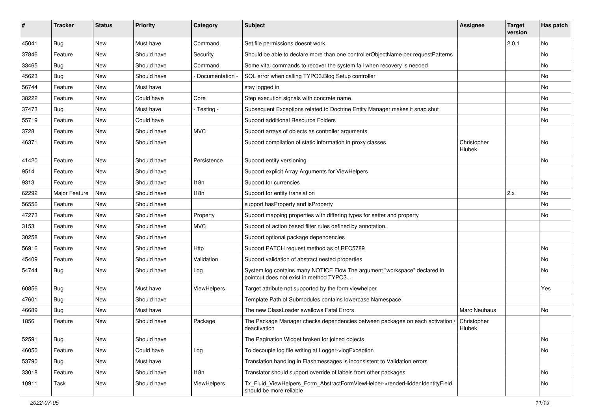| #     | <b>Tracker</b> | <b>Status</b> | <b>Priority</b> | Category      | <b>Subject</b>                                                                                                       | <b>Assignee</b>              | <b>Target</b><br>version | Has patch |
|-------|----------------|---------------|-----------------|---------------|----------------------------------------------------------------------------------------------------------------------|------------------------------|--------------------------|-----------|
| 45041 | <b>Bug</b>     | New           | Must have       | Command       | Set file permissions doesnt work                                                                                     |                              | 2.0.1                    | No        |
| 37846 | Feature        | New           | Should have     | Security      | Should be able to declare more than one controllerObjectName per requestPatterns                                     |                              |                          | No        |
| 33465 | <b>Bug</b>     | New           | Should have     | Command       | Some vital commands to recover the system fail when recovery is needed                                               |                              |                          | No        |
| 45623 | Bug            | <b>New</b>    | Should have     | Documentation | SQL error when calling TYPO3.Blog Setup controller                                                                   |                              |                          | No        |
| 56744 | Feature        | New           | Must have       |               | stay logged in                                                                                                       |                              |                          | No        |
| 38222 | Feature        | New           | Could have      | Core          | Step execution signals with concrete name                                                                            |                              |                          | No.       |
| 37473 | <b>Bug</b>     | New           | Must have       | - Testing -   | Subsequent Exceptions related to Doctrine Entity Manager makes it snap shut                                          |                              |                          | No        |
| 55719 | Feature        | New           | Could have      |               | Support additional Resource Folders                                                                                  |                              |                          | No.       |
| 3728  | Feature        | New           | Should have     | <b>MVC</b>    | Support arrays of objects as controller arguments                                                                    |                              |                          |           |
| 46371 | Feature        | New           | Should have     |               | Support compilation of static information in proxy classes                                                           | Christopher<br><b>Hlubek</b> |                          | No        |
| 41420 | Feature        | New           | Should have     | Persistence   | Support entity versioning                                                                                            |                              |                          | No        |
| 9514  | Feature        | New           | Should have     |               | Support explicit Array Arguments for ViewHelpers                                                                     |                              |                          |           |
| 9313  | Feature        | New           | Should have     | 118n          | Support for currencies                                                                                               |                              |                          | No        |
| 62292 | Major Feature  | New           | Should have     | 118n          | Support for entity translation                                                                                       |                              | 2.x                      | No        |
| 56556 | Feature        | New           | Should have     |               | support has Property and is Property                                                                                 |                              |                          | No        |
| 47273 | Feature        | <b>New</b>    | Should have     | Property      | Support mapping properties with differing types for setter and property                                              |                              |                          | No        |
| 3153  | Feature        | New           | Should have     | MVC.          | Support of action based filter rules defined by annotation.                                                          |                              |                          |           |
| 30258 | Feature        | New           | Should have     |               | Support optional package dependencies                                                                                |                              |                          |           |
| 56916 | Feature        | New           | Should have     | Http          | Support PATCH request method as of RFC5789                                                                           |                              |                          | No        |
| 45409 | Feature        | New           | Should have     | Validation    | Support validation of abstract nested properties                                                                     |                              |                          | No.       |
| 54744 | <b>Bug</b>     | New           | Should have     | Log           | System.log contains many NOTICE Flow The argument "workspace" declared in<br>pointcut does not exist in method TYPO3 |                              |                          | No        |
| 60856 | <b>Bug</b>     | New           | Must have       | ViewHelpers   | Target attribute not supported by the form viewhelper                                                                |                              |                          | Yes       |
| 47601 | <b>Bug</b>     | <b>New</b>    | Should have     |               | Template Path of Submodules contains lowercase Namespace                                                             |                              |                          |           |
| 46689 | Bug            | New           | Must have       |               | The new ClassLoader swallows Fatal Errors                                                                            | <b>Marc Neuhaus</b>          |                          | No        |
| 1856  | Feature        | New           | Should have     | Package       | The Package Manager checks dependencies between packages on each activation /<br>deactivation                        | Christopher<br>Hlubek        |                          |           |
| 52591 | Bug            | New           | Should have     |               | The Pagination Widget broken for joined objects                                                                      |                              |                          | No        |
| 46050 | Feature        | New           | Could have      | Log           | To decouple log file writing at Logger->logException                                                                 |                              |                          | No        |
| 53790 | <b>Bug</b>     | New           | Must have       |               | Translation handling in Flashmessages is inconsistent to Validation errors                                           |                              |                          |           |
| 33018 | Feature        | New           | Should have     | 118n          | Translator should support override of labels from other packages                                                     |                              |                          | No        |
| 10911 | Task           | New           | Should have     | ViewHelpers   | Tx_Fluid_ViewHelpers_Form_AbstractFormViewHelper->renderHiddenIdentityField<br>should be more reliable               |                              |                          | No        |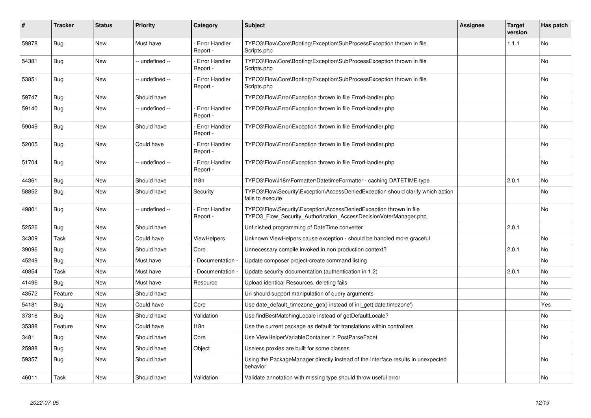| ∦     | <b>Tracker</b> | <b>Status</b> | <b>Priority</b> | Category                         | <b>Subject</b>                                                                                                                         | Assignee | <b>Target</b><br>version | Has patch |
|-------|----------------|---------------|-----------------|----------------------------------|----------------------------------------------------------------------------------------------------------------------------------------|----------|--------------------------|-----------|
| 59878 | <b>Bug</b>     | <b>New</b>    | Must have       | <b>Error Handler</b><br>Report - | TYPO3\Flow\Core\Booting\Exception\SubProcessException thrown in file<br>Scripts.php                                                    |          | 1.1.1                    | No        |
| 54381 | <b>Bug</b>     | New           | -- undefined -- | Error Handler<br>Report -        | TYPO3\Flow\Core\Booting\Exception\SubProcessException thrown in file<br>Scripts.php                                                    |          |                          | No        |
| 53851 | <b>Bug</b>     | New           | -- undefined -- | <b>Error Handler</b><br>Report - | TYPO3\Flow\Core\Booting\Exception\SubProcessException thrown in file<br>Scripts.php                                                    |          |                          | No        |
| 59747 | <b>Bug</b>     | <b>New</b>    | Should have     |                                  | TYPO3\Flow\Error\Exception thrown in file ErrorHandler.php                                                                             |          |                          | No        |
| 59140 | <b>Bug</b>     | New           | -- undefined -- | <b>Error Handler</b><br>Report - | TYPO3\Flow\Error\Exception thrown in file ErrorHandler.php                                                                             |          |                          | No        |
| 59049 | <b>Bug</b>     | New           | Should have     | Error Handler<br>Report -        | TYPO3\Flow\Error\Exception thrown in file ErrorHandler.php                                                                             |          |                          | No        |
| 52005 | <b>Bug</b>     | New           | Could have      | Error Handler<br>Report -        | TYPO3\Flow\Error\Exception thrown in file ErrorHandler.php                                                                             |          |                          | No        |
| 51704 | <b>Bug</b>     | <b>New</b>    | -- undefined -- | <b>Error Handler</b><br>Report - | TYPO3\Flow\Error\Exception thrown in file ErrorHandler.php                                                                             |          |                          | No        |
| 44361 | <b>Bug</b>     | New           | Should have     | 118n                             | TYPO3\Flow\I18n\Formatter\DatetimeFormatter - caching DATETIME type                                                                    |          | 2.0.1                    | No        |
| 58852 | Bug            | New           | Should have     | Security                         | TYPO3\Flow\Security\Exception\AccessDeniedException should clarify which action<br>fails to execute                                    |          |                          | No        |
| 49801 | <b>Bug</b>     | <b>New</b>    | -- undefined -- | <b>Error Handler</b><br>Report - | TYPO3\Flow\Security\Exception\AccessDeniedException thrown in file<br>TYPO3 Flow Security Authorization AccessDecisionVoterManager.php |          |                          | <b>No</b> |
| 52526 | <b>Bug</b>     | New           | Should have     |                                  | Unfinished programming of DateTime converter                                                                                           |          | 2.0.1                    |           |
| 34309 | Task           | <b>New</b>    | Could have      | <b>ViewHelpers</b>               | Unknown ViewHelpers cause exception - should be handled more graceful                                                                  |          |                          | <b>No</b> |
| 39096 | Bug            | New           | Should have     | Core                             | Unnecessary compile invoked in non production context?                                                                                 |          | 2.0.1                    | No.       |
| 45249 | Bug            | New           | Must have       | Documentation                    | Update composer project-create command listing                                                                                         |          |                          | <b>No</b> |
| 40854 | Task           | <b>New</b>    | Must have       | Documentation                    | Update security documentation (authentication in 1.2)                                                                                  |          | 2.0.1                    | <b>No</b> |
| 41496 | <b>Bug</b>     | New           | Must have       | Resource                         | Upload identical Resources, deleting fails                                                                                             |          |                          | No        |
| 43572 | Feature        | <b>New</b>    | Should have     |                                  | Uri should support manipulation of query arguments                                                                                     |          |                          | No        |
| 54181 | <b>Bug</b>     | <b>New</b>    | Could have      | Core                             | Use date default timezone get() instead of ini get('date.timezone')                                                                    |          |                          | Yes       |
| 37316 | Bug            | New           | Should have     | Validation                       | Use findBestMatchingLocale instead of getDefaultLocale?                                                                                |          |                          | No        |
| 35388 | Feature        | <b>New</b>    | Could have      | 118n                             | Use the current package as default for translations within controllers                                                                 |          |                          | No        |
| 3481  | Bug            | New           | Should have     | Core                             | Use ViewHelperVariableContainer in PostParseFacet                                                                                      |          |                          | No        |
| 25988 | <b>Bug</b>     | New           | Should have     | Object                           | Useless proxies are built for some classes                                                                                             |          |                          |           |
| 59357 | Bug            | New           | Should have     |                                  | Using the PackageManager directly instead of the Interface results in unexpected<br>behavior                                           |          |                          | No        |
| 46011 | Task           | <b>New</b>    | Should have     | Validation                       | Validate annotation with missing type should throw useful error                                                                        |          |                          | No        |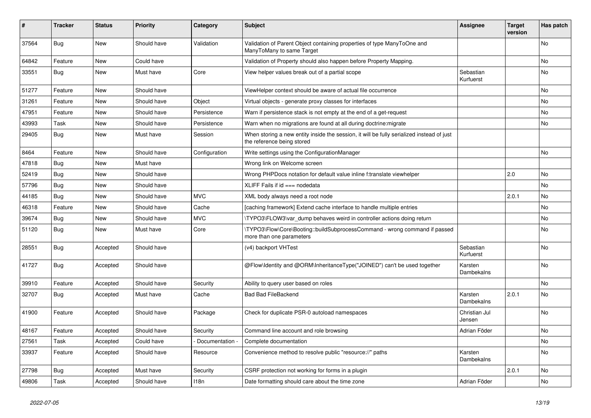| ∦     | <b>Tracker</b> | <b>Status</b> | <b>Priority</b> | Category      | <b>Subject</b>                                                                                                          | <b>Assignee</b>         | <b>Target</b><br>version | Has patch |
|-------|----------------|---------------|-----------------|---------------|-------------------------------------------------------------------------------------------------------------------------|-------------------------|--------------------------|-----------|
| 37564 | Bug            | <b>New</b>    | Should have     | Validation    | Validation of Parent Object containing properties of type ManyToOne and<br>ManyToMany to same Target                    |                         |                          | <b>No</b> |
| 64842 | Feature        | New           | Could have      |               | Validation of Property should also happen before Property Mapping.                                                      |                         |                          | No        |
| 33551 | Bug            | <b>New</b>    | Must have       | Core          | View helper values break out of a partial scope                                                                         | Sebastian<br>Kurfuerst  |                          | No        |
| 51277 | Feature        | New           | Should have     |               | ViewHelper context should be aware of actual file occurrence                                                            |                         |                          | No.       |
| 31261 | Feature        | New           | Should have     | Object        | Virtual objects - generate proxy classes for interfaces                                                                 |                         |                          | No        |
| 47951 | Feature        | New           | Should have     | Persistence   | Warn if persistence stack is not empty at the end of a get-request                                                      |                         |                          | No        |
| 43993 | Task           | <b>New</b>    | Should have     | Persistence   | Warn when no migrations are found at all during doctrine: migrate                                                       |                         |                          | No        |
| 29405 | Bug            | New           | Must have       | Session       | When storing a new entity inside the session, it will be fully serialized instead of just<br>the reference being stored |                         |                          |           |
| 8464  | Feature        | New           | Should have     | Configuration | Write settings using the ConfigurationManager                                                                           |                         |                          | No.       |
| 47818 | Bug            | New           | Must have       |               | Wrong link on Welcome screen                                                                                            |                         |                          |           |
| 52419 | Bug            | New           | Should have     |               | Wrong PHPDocs notation for default value inline f:translate viewhelper                                                  |                         | 2.0                      | <b>No</b> |
| 57796 | Bug            | New           | Should have     |               | XLIFF Fails if $id ==$ nodedata                                                                                         |                         |                          | No        |
| 44185 | <b>Bug</b>     | New           | Should have     | <b>MVC</b>    | XML body always need a root node                                                                                        |                         | 2.0.1                    | No        |
| 46318 | Feature        | New           | Should have     | Cache         | [caching framework] Extend cache interface to handle multiple entries                                                   |                         |                          | <b>No</b> |
| 39674 | <b>Bug</b>     | New           | Should have     | <b>MVC</b>    | TYPO3\FLOW3\var_dump behaves weird in controller actions doing return                                                   |                         |                          | No        |
| 51120 | Bug            | New           | Must have       | Core          | \TYPO3\Flow\Core\Booting::buildSubprocessCommand - wrong command if passed<br>more than one parameters                  |                         |                          | No        |
| 28551 | Bug            | Accepted      | Should have     |               | (v4) backport VHTest                                                                                                    | Sebastian<br>Kurfuerst  |                          | No        |
| 41727 | Bug            | Accepted      | Should have     |               | @Flow\Identity and @ORM\InheritanceType("JOINED") can't be used together                                                | Karsten<br>Dambekalns   |                          | No        |
| 39910 | Feature        | Accepted      | Should have     | Security      | Ability to query user based on roles                                                                                    |                         |                          | <b>No</b> |
| 32707 | Bug            | Accepted      | Must have       | Cache         | <b>Bad Bad FileBackend</b>                                                                                              | Karsten<br>Dambekalns   | 2.0.1                    | No        |
| 41900 | Feature        | Accepted      | Should have     | Package       | Check for duplicate PSR-0 autoload namespaces                                                                           | Christian Jul<br>Jensen |                          | No        |
| 48167 | Feature        | Accepted      | Should have     | Security      | Command line account and role browsing                                                                                  | Adrian Föder            |                          | No        |
| 27561 | Task           | Accepted      | Could have      | Documentation | Complete documentation                                                                                                  |                         |                          | No        |
| 33937 | Feature        | Accepted      | Should have     | Resource      | Convenience method to resolve public "resource://" paths                                                                | Karsten<br>Dambekalns   |                          | No        |
| 27798 | Bug            | Accepted      | Must have       | Security      | CSRF protection not working for forms in a plugin                                                                       |                         | 2.0.1                    | No        |
| 49806 | Task           | Accepted      | Should have     | 118n          | Date formatting should care about the time zone                                                                         | Adrian Föder            |                          | No        |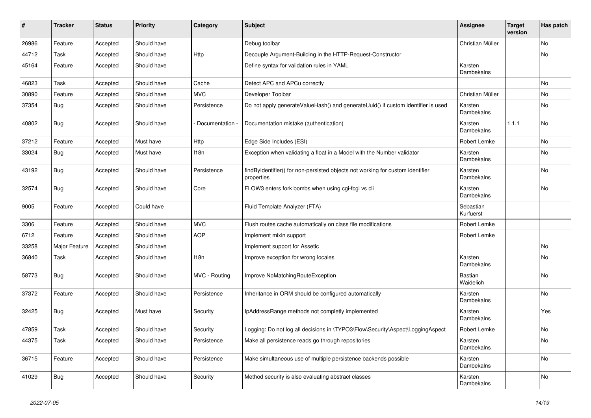| $\pmb{\#}$ | <b>Tracker</b> | <b>Status</b> | <b>Priority</b> | Category      | <b>Subject</b>                                                                               | <b>Assignee</b>        | <b>Target</b><br>version | Has patch |
|------------|----------------|---------------|-----------------|---------------|----------------------------------------------------------------------------------------------|------------------------|--------------------------|-----------|
| 26986      | Feature        | Accepted      | Should have     |               | Debug toolbar                                                                                | Christian Müller       |                          | No        |
| 44712      | Task           | Accepted      | Should have     | <b>Http</b>   | Decouple Argument-Building in the HTTP-Request-Constructor                                   |                        |                          | No        |
| 45164      | Feature        | Accepted      | Should have     |               | Define syntax for validation rules in YAML                                                   | Karsten<br>Dambekalns  |                          |           |
| 46823      | Task           | Accepted      | Should have     | Cache         | Detect APC and APCu correctly                                                                |                        |                          | <b>No</b> |
| 30890      | Feature        | Accepted      | Should have     | <b>MVC</b>    | Developer Toolbar                                                                            | Christian Müller       |                          | No        |
| 37354      | <b>Bug</b>     | Accepted      | Should have     | Persistence   | Do not apply generateValueHash() and generateUuid() if custom identifier is used             | Karsten<br>Dambekalns  |                          | No        |
| 40802      | Bug            | Accepted      | Should have     | Documentation | Documentation mistake (authentication)                                                       | Karsten<br>Dambekalns  | 1.1.1                    | <b>No</b> |
| 37212      | Feature        | Accepted      | Must have       | Http          | Edge Side Includes (ESI)                                                                     | Robert Lemke           |                          | No        |
| 33024      | <b>Bug</b>     | Accepted      | Must have       | 118n          | Exception when validating a float in a Model with the Number validator                       | Karsten<br>Dambekalns  |                          | No        |
| 43192      | Bug            | Accepted      | Should have     | Persistence   | findByIdentifier() for non-persisted objects not working for custom identifier<br>properties | Karsten<br>Dambekalns  |                          | No        |
| 32574      | <b>Bug</b>     | Accepted      | Should have     | Core          | FLOW3 enters fork bombs when using cgi-fcgi vs cli                                           | Karsten<br>Dambekalns  |                          | No        |
| 9005       | Feature        | Accepted      | Could have      |               | Fluid Template Analyzer (FTA)                                                                | Sebastian<br>Kurfuerst |                          |           |
| 3306       | Feature        | Accepted      | Should have     | <b>MVC</b>    | Flush routes cache automatically on class file modifications                                 | Robert Lemke           |                          |           |
| 6712       | Feature        | Accepted      | Should have     | <b>AOP</b>    | Implement mixin support                                                                      | Robert Lemke           |                          |           |
| 33258      | Major Feature  | Accepted      | Should have     |               | Implement support for Assetic                                                                |                        |                          | <b>No</b> |
| 36840      | Task           | Accepted      | Should have     | 118n          | Improve exception for wrong locales                                                          | Karsten<br>Dambekalns  |                          | <b>No</b> |
| 58773      | Bug            | Accepted      | Should have     | MVC - Routing | Improve NoMatchingRouteException                                                             | Bastian<br>Waidelich   |                          | <b>No</b> |
| 37372      | Feature        | Accepted      | Should have     | Persistence   | Inheritance in ORM should be configured automatically                                        | Karsten<br>Dambekalns  |                          | No.       |
| 32425      | <b>Bug</b>     | Accepted      | Must have       | Security      | IpAddressRange methods not completly implemented                                             | Karsten<br>Dambekalns  |                          | Yes       |
| 47859      | Task           | Accepted      | Should have     | Security      | Logging: Do not log all decisions in \TYPO3\Flow\Security\Aspect\LoggingAspect               | Robert Lemke           |                          | <b>No</b> |
| 44375      | Task           | Accepted      | Should have     | Persistence   | Make all persistence reads go through repositories                                           | Karsten<br>Dambekalns  |                          | No        |
| 36715      | Feature        | Accepted      | Should have     | Persistence   | Make simultaneous use of multiple persistence backends possible                              | Karsten<br>Dambekalns  |                          | No        |
| 41029      | <b>Bug</b>     | Accepted      | Should have     | Security      | Method security is also evaluating abstract classes                                          | Karsten<br>Dambekalns  |                          | No        |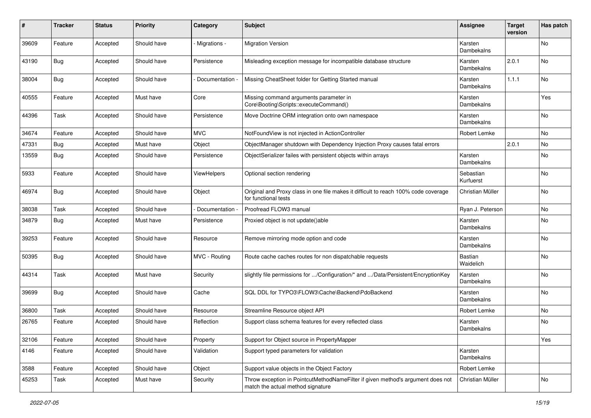| $\pmb{\#}$ | <b>Tracker</b> | <b>Status</b> | <b>Priority</b> | Category      | Subject                                                                                                              | <b>Assignee</b>        | <b>Target</b><br>version | Has patch |
|------------|----------------|---------------|-----------------|---------------|----------------------------------------------------------------------------------------------------------------------|------------------------|--------------------------|-----------|
| 39609      | Feature        | Accepted      | Should have     | Migrations -  | <b>Migration Version</b>                                                                                             | Karsten<br>Dambekalns  |                          | <b>No</b> |
| 43190      | Bug            | Accepted      | Should have     | Persistence   | Misleading exception message for incompatible database structure                                                     | Karsten<br>Dambekalns  | 2.0.1                    | No        |
| 38004      | Bug            | Accepted      | Should have     | Documentation | Missing CheatSheet folder for Getting Started manual                                                                 | Karsten<br>Dambekalns  | 1.1.1                    | No        |
| 40555      | Feature        | Accepted      | Must have       | Core          | Missing command arguments parameter in<br>Core\Booting\Scripts::executeCommand()                                     | Karsten<br>Dambekalns  |                          | Yes       |
| 44396      | Task           | Accepted      | Should have     | Persistence   | Move Doctrine ORM integration onto own namespace                                                                     | Karsten<br>Dambekalns  |                          | No        |
| 34674      | Feature        | Accepted      | Should have     | <b>MVC</b>    | NotFoundView is not injected in ActionController                                                                     | Robert Lemke           |                          | No        |
| 47331      | Bug            | Accepted      | Must have       | Object        | ObjectManager shutdown with Dependency Injection Proxy causes fatal errors                                           |                        | 2.0.1                    | No        |
| 13559      | Bug            | Accepted      | Should have     | Persistence   | ObjectSerializer failes with persistent objects within arrays                                                        | Karsten<br>Dambekalns  |                          | No        |
| 5933       | Feature        | Accepted      | Should have     | ViewHelpers   | Optional section rendering                                                                                           | Sebastian<br>Kurfuerst |                          | No.       |
| 46974      | Bug            | Accepted      | Should have     | Object        | Original and Proxy class in one file makes it difficult to reach 100% code coverage<br>for functional tests          | Christian Müller       |                          | <b>No</b> |
| 38038      | Task           | Accepted      | Should have     | Documentation | Proofread FLOW3 manual                                                                                               | Ryan J. Peterson       |                          | No.       |
| 34879      | Bug            | Accepted      | Must have       | Persistence   | Proxied object is not update()able                                                                                   | Karsten<br>Dambekalns  |                          | No        |
| 39253      | Feature        | Accepted      | Should have     | Resource      | Remove mirroring mode option and code                                                                                | Karsten<br>Dambekalns  |                          | No        |
| 50395      | Bug            | Accepted      | Should have     | MVC - Routing | Route cache caches routes for non dispatchable requests                                                              | Bastian<br>Waidelich   |                          | No.       |
| 44314      | Task           | Accepted      | Must have       | Security      | slightly file permissions for /Configuration/* and /Data/Persistent/EncryptionKey                                    | Karsten<br>Dambekalns  |                          | No.       |
| 39699      | Bug            | Accepted      | Should have     | Cache         | SQL DDL for TYPO3\FLOW3\Cache\Backend\PdoBackend                                                                     | Karsten<br>Dambekalns  |                          | No.       |
| 36800      | Task           | Accepted      | Should have     | Resource      | Streamline Resource object API                                                                                       | Robert Lemke           |                          | No        |
| 26765      | Feature        | Accepted      | Should have     | Reflection    | Support class schema features for every reflected class                                                              | Karsten<br>Dambekalns  |                          | No        |
| 32106      | Feature        | Accepted      | Should have     | Property      | Support for Object source in PropertyMapper                                                                          |                        |                          | Yes       |
| 4146       | Feature        | Accepted      | Should have     | Validation    | Support typed parameters for validation                                                                              | Karsten<br>Dambekalns  |                          |           |
| 3588       | Feature        | Accepted      | Should have     | Object        | Support value objects in the Object Factory                                                                          | Robert Lemke           |                          |           |
| 45253      | Task           | Accepted      | Must have       | Security      | Throw exception in PointcutMethodNameFilter if given method's argument does not<br>match the actual method signature | Christian Müller       |                          | No        |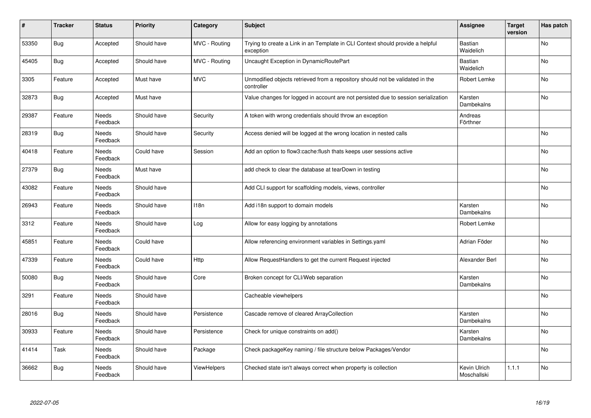| $\vert$ # | <b>Tracker</b> | <b>Status</b>            | <b>Priority</b> | Category      | <b>Subject</b>                                                                              | <b>Assignee</b>             | <b>Target</b><br>version | Has patch |
|-----------|----------------|--------------------------|-----------------|---------------|---------------------------------------------------------------------------------------------|-----------------------------|--------------------------|-----------|
| 53350     | Bug            | Accepted                 | Should have     | MVC - Routing | Trying to create a Link in an Template in CLI Context should provide a helpful<br>exception | <b>Bastian</b><br>Waidelich |                          | <b>No</b> |
| 45405     | <b>Bug</b>     | Accepted                 | Should have     | MVC - Routing | Uncaught Exception in DynamicRoutePart                                                      | Bastian<br>Waidelich        |                          | No        |
| 3305      | Feature        | Accepted                 | Must have       | <b>MVC</b>    | Unmodified objects retrieved from a repository should not be validated in the<br>controller | Robert Lemke                |                          | No        |
| 32873     | <b>Bug</b>     | Accepted                 | Must have       |               | Value changes for logged in account are not persisted due to session serialization          | Karsten<br>Dambekalns       |                          | No        |
| 29387     | Feature        | <b>Needs</b><br>Feedback | Should have     | Security      | A token with wrong credentials should throw an exception                                    | Andreas<br>Förthner         |                          |           |
| 28319     | <b>Bug</b>     | Needs<br>Feedback        | Should have     | Security      | Access denied will be logged at the wrong location in nested calls                          |                             |                          | <b>No</b> |
| 40418     | Feature        | Needs<br>Feedback        | Could have      | Session       | Add an option to flow3:cache:flush thats keeps user sessions active                         |                             |                          | No        |
| 27379     | <b>Bug</b>     | Needs<br>Feedback        | Must have       |               | add check to clear the database at tearDown in testing                                      |                             |                          | <b>No</b> |
| 43082     | Feature        | Needs<br>Feedback        | Should have     |               | Add CLI support for scaffolding models, views, controller                                   |                             |                          | No        |
| 26943     | Feature        | Needs<br>Feedback        | Should have     | 118n          | Add i18n support to domain models                                                           | Karsten<br>Dambekalns       |                          | <b>No</b> |
| 3312      | Feature        | Needs<br>Feedback        | Should have     | Log           | Allow for easy logging by annotations                                                       | Robert Lemke                |                          |           |
| 45851     | Feature        | Needs<br>Feedback        | Could have      |               | Allow referencing environment variables in Settings yaml                                    | Adrian Föder                |                          | No        |
| 47339     | Feature        | Needs<br>Feedback        | Could have      | Http          | Allow RequestHandlers to get the current Request injected                                   | Alexander Berl              |                          | No        |
| 50080     | <b>Bug</b>     | Needs<br>Feedback        | Should have     | Core          | Broken concept for CLI/Web separation                                                       | Karsten<br>Dambekalns       |                          | No        |
| 3291      | Feature        | Needs<br>Feedback        | Should have     |               | Cacheable viewhelpers                                                                       |                             |                          | No        |
| 28016     | <b>Bug</b>     | Needs<br>Feedback        | Should have     | Persistence   | Cascade remove of cleared ArrayCollection                                                   | Karsten<br>Dambekalns       |                          | No        |
| 30933     | Feature        | Needs<br>Feedback        | Should have     | Persistence   | Check for unique constraints on add()                                                       | Karsten<br>Dambekalns       |                          | No        |
| 41414     | Task           | Needs<br>Feedback        | Should have     | Package       | Check packageKey naming / file structure below Packages/Vendor                              |                             |                          | No        |
| 36662     | Bug            | Needs<br>Feedback        | Should have     | ViewHelpers   | Checked state isn't always correct when property is collection                              | Kevin Ulrich<br>Moschallski | 1.1.1                    | No        |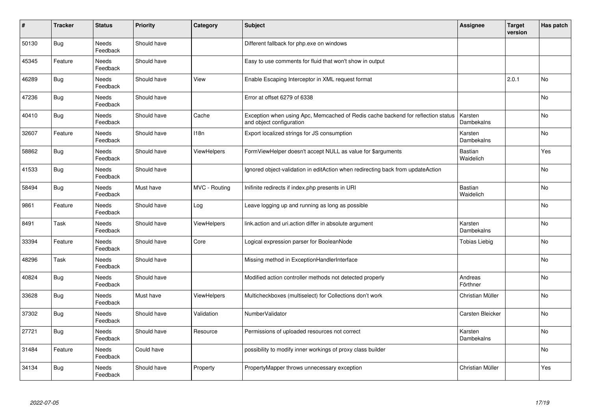| $\vert$ # | <b>Tracker</b> | <b>Status</b>            | <b>Priority</b> | Category         | <b>Subject</b>                                                                                               | Assignee                    | <b>Target</b><br>version | Has patch |
|-----------|----------------|--------------------------|-----------------|------------------|--------------------------------------------------------------------------------------------------------------|-----------------------------|--------------------------|-----------|
| 50130     | <b>Bug</b>     | <b>Needs</b><br>Feedback | Should have     |                  | Different fallback for php.exe on windows                                                                    |                             |                          |           |
| 45345     | Feature        | Needs<br>Feedback        | Should have     |                  | Easy to use comments for fluid that won't show in output                                                     |                             |                          |           |
| 46289     | <b>Bug</b>     | Needs<br>Feedback        | Should have     | View             | Enable Escaping Interceptor in XML request format                                                            |                             | 2.0.1                    | No        |
| 47236     | Bug            | Needs<br>Feedback        | Should have     |                  | Error at offset 6279 of 6338                                                                                 |                             |                          | <b>No</b> |
| 40410     | <b>Bug</b>     | Needs<br>Feedback        | Should have     | Cache            | Exception when using Apc, Memcached of Redis cache backend for reflection status<br>and object configuration | Karsten<br>Dambekalns       |                          | No        |
| 32607     | Feature        | Needs<br>Feedback        | Should have     | 118 <sub>n</sub> | Export localized strings for JS consumption                                                                  | Karsten<br>Dambekalns       |                          | No        |
| 58862     | Bug            | Needs<br>Feedback        | Should have     | ViewHelpers      | FormViewHelper doesn't accept NULL as value for \$arguments                                                  | Bastian<br>Waidelich        |                          | Yes       |
| 41533     | Bug            | Needs<br>Feedback        | Should have     |                  | Ignored object-validation in editAction when redirecting back from updateAction                              |                             |                          | No        |
| 58494     | Bug            | Needs<br>Feedback        | Must have       | MVC - Routing    | Inifinite redirects if index.php presents in URI                                                             | <b>Bastian</b><br>Waidelich |                          | No        |
| 9861      | Feature        | Needs<br>Feedback        | Should have     | Log              | Leave logging up and running as long as possible                                                             |                             |                          | No        |
| 8491      | Task           | Needs<br>Feedback        | Should have     | ViewHelpers      | link.action and uri.action differ in absolute argument                                                       | Karsten<br>Dambekalns       |                          | No        |
| 33394     | Feature        | Needs<br>Feedback        | Should have     | Core             | Logical expression parser for BooleanNode                                                                    | Tobias Liebig               |                          | No        |
| 48296     | Task           | Needs<br>Feedback        | Should have     |                  | Missing method in ExceptionHandlerInterface                                                                  |                             |                          | No        |
| 40824     | Bug            | Needs<br>Feedback        | Should have     |                  | Modified action controller methods not detected properly                                                     | Andreas<br>Förthner         |                          | No        |
| 33628     | <b>Bug</b>     | Needs<br>Feedback        | Must have       | ViewHelpers      | Multicheckboxes (multiselect) for Collections don't work                                                     | Christian Müller            |                          | No        |
| 37302     | Bug            | Needs<br>Feedback        | Should have     | Validation       | NumberValidator                                                                                              | Carsten Bleicker            |                          | <b>No</b> |
| 27721     | <b>Bug</b>     | Needs<br>Feedback        | Should have     | Resource         | Permissions of uploaded resources not correct                                                                | Karsten<br>Dambekalns       |                          | No        |
| 31484     | Feature        | Needs<br>Feedback        | Could have      |                  | possibility to modify inner workings of proxy class builder                                                  |                             |                          | No        |
| 34134     | Bug            | Needs<br>Feedback        | Should have     | Property         | PropertyMapper throws unnecessary exception                                                                  | Christian Müller            |                          | Yes       |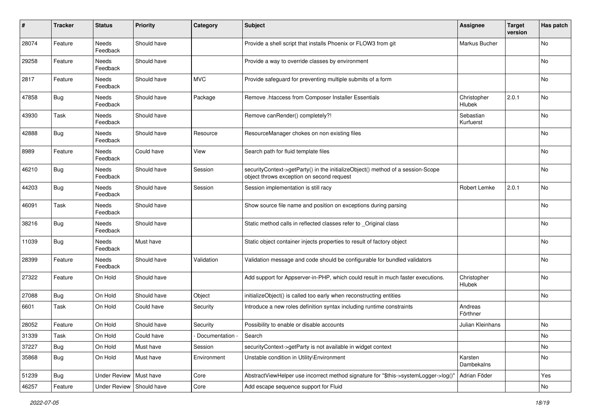| $\pmb{\#}$ | <b>Tracker</b> | <b>Status</b>       | <b>Priority</b> | Category        | <b>Subject</b>                                                                                                               | <b>Assignee</b>              | <b>Target</b><br>version | Has patch |
|------------|----------------|---------------------|-----------------|-----------------|------------------------------------------------------------------------------------------------------------------------------|------------------------------|--------------------------|-----------|
| 28074      | Feature        | Needs<br>Feedback   | Should have     |                 | Provide a shell script that installs Phoenix or FLOW3 from git                                                               | Markus Bucher                |                          | No        |
| 29258      | Feature        | Needs<br>Feedback   | Should have     |                 | Provide a way to override classes by environment                                                                             |                              |                          | No        |
| 2817       | Feature        | Needs<br>Feedback   | Should have     | <b>MVC</b>      | Provide safeguard for preventing multiple submits of a form                                                                  |                              |                          | No        |
| 47858      | <b>Bug</b>     | Needs<br>Feedback   | Should have     | Package         | Remove .htaccess from Composer Installer Essentials                                                                          | Christopher<br>Hlubek        | 2.0.1                    | No        |
| 43930      | Task           | Needs<br>Feedback   | Should have     |                 | Remove canRender() completely?!                                                                                              | Sebastian<br>Kurfuerst       |                          | No        |
| 42888      | Bug            | Needs<br>Feedback   | Should have     | Resource        | ResourceManager chokes on non existing files                                                                                 |                              |                          | No        |
| 8989       | Feature        | Needs<br>Feedback   | Could have      | View            | Search path for fluid template files                                                                                         |                              |                          | No        |
| 46210      | Bug            | Needs<br>Feedback   | Should have     | Session         | securityContext->getParty() in the initializeObject() method of a session-Scope<br>object throws exception on second request |                              |                          | No        |
| 44203      | Bug            | Needs<br>Feedback   | Should have     | Session         | Session implementation is still racy                                                                                         | Robert Lemke                 | 2.0.1                    | No        |
| 46091      | Task           | Needs<br>Feedback   | Should have     |                 | Show source file name and position on exceptions during parsing                                                              |                              |                          | No        |
| 38216      | Bug            | Needs<br>Feedback   | Should have     |                 | Static method calls in reflected classes refer to _Original class                                                            |                              |                          | No        |
| 11039      | <b>Bug</b>     | Needs<br>Feedback   | Must have       |                 | Static object container injects properties to result of factory object                                                       |                              |                          | No        |
| 28399      | Feature        | Needs<br>Feedback   | Should have     | Validation      | Validation message and code should be configurable for bundled validators                                                    |                              |                          | No        |
| 27322      | Feature        | On Hold             | Should have     |                 | Add support for Appserver-in-PHP, which could result in much faster executions.                                              | Christopher<br><b>Hlubek</b> |                          | No        |
| 27088      | Bug            | On Hold             | Should have     | Object          | initializeObject() is called too early when reconstructing entities                                                          |                              |                          | No        |
| 6601       | Task           | On Hold             | Could have      | Security        | Introduce a new roles definition syntax including runtime constraints                                                        | Andreas<br>Förthner          |                          |           |
| 28052      | Feature        | On Hold             | Should have     | Security        | Possibility to enable or disable accounts                                                                                    | Julian Kleinhans             |                          | No        |
| 31339      | Task           | On Hold             | Could have      | Documentation - | Search                                                                                                                       |                              |                          | No        |
| 37227      | Bug            | On Hold             | Must have       | Session         | securityContext->getParty is not available in widget context                                                                 |                              |                          | No        |
| 35868      | <b>Bug</b>     | On Hold             | Must have       | Environment     | Unstable condition in Utility\Environment                                                                                    | Karsten<br>Dambekalns        |                          | No        |
| 51239      | <b>Bug</b>     | <b>Under Review</b> | Must have       | Core            | AbstractViewHelper use incorrect method signature for "\$this->systemLogger->log()"                                          | Adrian Föder                 |                          | Yes       |
| 46257      | Feature        | <b>Under Review</b> | Should have     | Core            | Add escape sequence support for Fluid                                                                                        |                              |                          | No        |